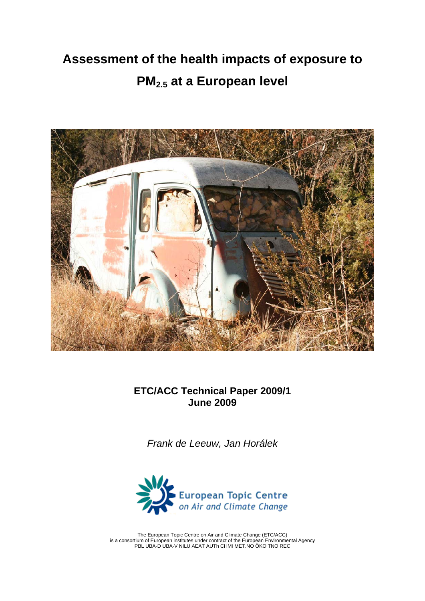# **Assessment of the health impacts of exposure to PM2.5 at a European level**



**ETC/ACC Technical Paper 2009/1 June 2009** 

*Frank de Leeuw, Jan Horálek* 



The European Topic Centre on Air and Climate Change (ETC/ACC) is a consortium of European institutes under contract of the European Environmental Agency PBL UBA-D UBA-V NILU AEAT AUTh CHMI MET.NO ÖKO TNO REC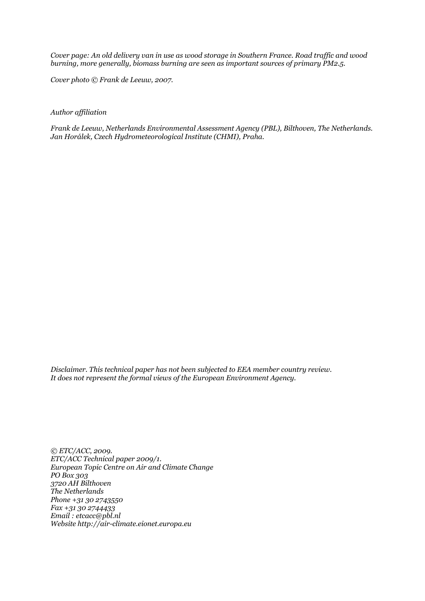*Cover page: An old delivery van in use as wood storage in Southern France. Road traffic and wood burning, more generally, biomass burning are seen as important sources of primary PM2.5.* 

*Cover photo © Frank de Leeuw, 2007.* 

#### *Author affiliation*

*Frank de Leeuw, Netherlands Environmental Assessment Agency (PBL), Bilthoven, The Netherlands. Jan Horálek, Czech Hydrometeorological Institute (CHMI), Praha.*

*Disclaimer. This technical paper has not been subjected to EEA member country review. It does not represent the formal views of the European Environment Agency.* 

*© ETC/ACC, 2009. ETC/ACC Technical paper 2009/1. European Topic Centre on Air and Climate Change PO Box 303 3720 AH Bilthoven The Netherlands Phone +31 30 2743550 Fax +31 30 2744433 Email : etcacc@pbl.nl Website http://air-climate.eionet.europa.eu*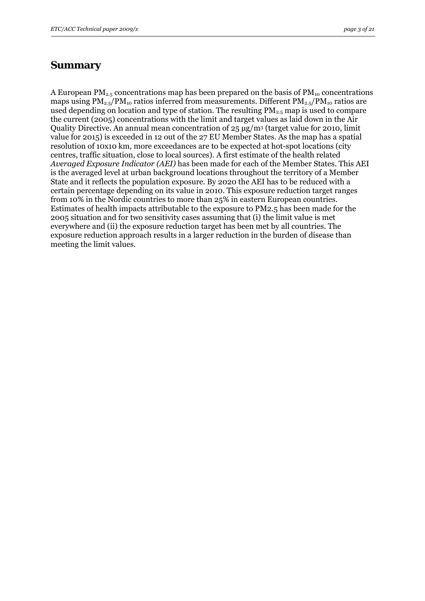#### <span id="page-2-0"></span>**Summary**

A European  $PM_{2.5}$  concentrations map has been prepared on the basis of  $PM_{10}$  concentrations maps using  $PM_{2.5}/PM_{10}$  ratios inferred from measurements. Different  $PM_{2.5}/PM_{10}$  ratios are used depending on location and type of station. The resulting  $PM_{2.5}$  map is used to compare the current (2005) concentrations with the limit and target values as laid down in the Air Quality Directive. An annual mean concentration of 25 μg/m3 (target value for 2010, limit value for 2015) is exceeded in 12 out of the 27 EU Member States. As the map has a spatial resolution of 10x10 km, more exceedances are to be expected at hot-spot locations (city centres, traffic situation, close to local sources). A first estimate of the health related *Averaged Exposure Indicator (AEI)* has been made for each of the Member States*.* This AEI is the averaged level at urban background locations throughout the territory of a Member State and it reflects the population exposure. By 2020 the AEI has to be reduced with a certain percentage depending on its value in 2010. This exposure reduction target ranges from 10% in the Nordic countries to more than 25% in eastern European countries. Estimates of health impacts attributable to the exposure to PM2.5 has been made for the 2005 situation and for two sensitivity cases assuming that (i) the limit value is met everywhere and (ii) the exposure reduction target has been met by all countries. The exposure reduction approach results in a larger reduction in the burden of disease than meeting the limit values.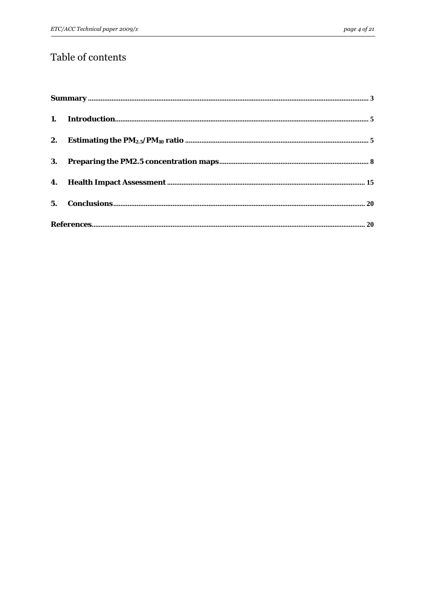# Table of contents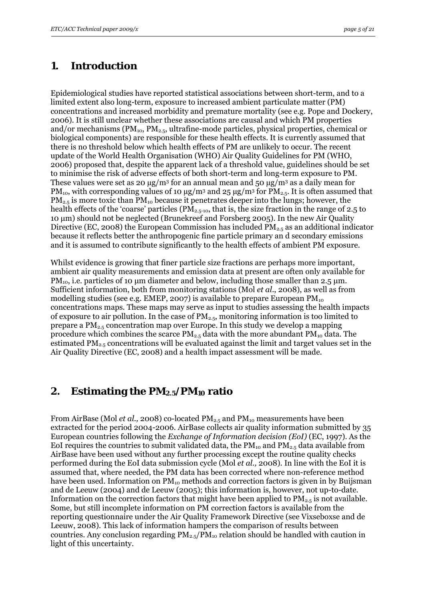### <span id="page-4-0"></span>**1. Introduction**

Epidemiological studies have reported statistical associations between short-term, and to a limited extent also long-term, exposure to increased ambient particulate matter (PM) concentrations and increased morbidity and premature mortality (see e.g. Pope and Dockery, 2006). It is still unclear whether these associations are causal and which PM properties and/or mechanisms ( $PM_{10}$ ,  $PM_{2.5}$ , ultrafine-mode particles, physical properties, chemical or biological components) are responsible for these health effects. It is currently assumed that there is no threshold below which health effects of PM are unlikely to occur. The recent update of the World Health Organisation (WHO) Air Quality Guidelines for PM (WHO, 2006) proposed that, despite the apparent lack of a threshold value, guidelines should be set to minimise the risk of adverse effects of both short-term and long-term exposure to PM. These values were set as 20  $\mu$ g/m<sup>3</sup> for an annual mean and 50  $\mu$ g/m<sup>3</sup> as a daily mean for PM<sub>10</sub>, with corresponding values of 10  $\mu$ g/m<sup>3</sup> and 25  $\mu$ g/m<sup>3</sup> for PM<sub>2.5</sub>. It is often assumed that  $PM_{2.5}$  is more toxic than  $PM_{10}$  because it penetrates deeper into the lungs; however, the health effects of the 'coarse' particles ( $PM_{2.5-10}$ , that is, the size fraction in the range of 2.5 to 10 μm) should not be neglected (Brunekreef and Forsberg 2005). In the new Air Quality Directive (EC, 2008) the European Commission has included  $PM_{2.5}$  as an additional indicator because it reflects better the anthropogenic fine particle primary an d secondary emissions and it is assumed to contribute significantly to the health effects of ambient PM exposure.

Whilst evidence is growing that finer particle size fractions are perhaps more important, ambient air quality measurements and emission data at present are often only available for PM<sub>10</sub>, i.e. particles of 10  $\mu$ m diameter and below, including those smaller than 2.5  $\mu$ m. Sufficient information, both from monitoring stations (Mol *et al.*, 2008), as well as from modelling studies (see e.g. EMEP, 2007) is available to prepare European  $PM_{10}$ concentrations maps. These maps may serve as input to studies assessing the health impacts of exposure to air pollution. In the case of  $PM_{2.5}$ , monitoring information is too limited to prepare a  $PM_{2.5}$  concentration map over Europe. In this study we develop a mapping procedure which combines the scarce  $PM_{2.5}$  data with the more abundant  $PM_{10}$  data. The estimated  $PM_{2.5}$  concentrations will be evaluated against the limit and target values set in the Air Quality Directive (EC, 2008) and a health impact assessment will be made.

#### **2. Estimating the PM2.5/PM10 ratio**

From AirBase (Mol *et al.,* 2008) co-located PM<sub>2.5</sub> and PM<sub>10</sub> measurements have been extracted for the period 2004-2006. AirBase collects air quality information submitted by 35 European countries following the *Exchange of Information decision (EoI)* (EC, 1997). As the EoI requires the countries to submit validated data, the  $PM_{10}$  and  $PM_{2.5}$  data available from AirBase have been used without any further processing except the routine quality checks performed during the EoI data submission cycle (Mol *et al.,* 2008). In line with the EoI it is assumed that, where needed, the PM data has been corrected where non-reference method have been used. Information on  $PM_{10}$  methods and correction factors is given in by Buijsman and de Leeuw (2004) and de Leeuw (2005); this information is, however, not up-to-date. Information on the correction factors that might have been applied to  $PM_{2.5}$  is not available. Some, but still incomplete information on PM correction factors is available from the reporting questionnaire under the Air Quality Framework Directive (see Vixseboxse and de Leeuw, 2008). This lack of information hampers the comparison of results between countries. Any conclusion regarding  $PM_{2.5}/PM_{10}$  relation should be handled with caution in light of this uncertainty.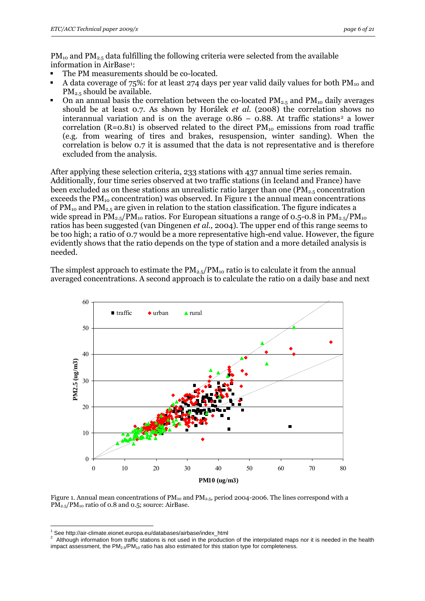$PM_{10}$  and  $PM_{2.5}$  data fulfilling the following criteria were selected from the available information in AirBase<sup>[1](#page-5-0)</sup>:

- The PM measurements should be co-located.
- A data coverage of  $75\%$ : for at least 274 days per year valid daily values for both  $PM_{10}$  and PM2.5 should be available.
- On an annual basis the correlation between the co-located  $PM_{2.5}$  and  $PM_{10}$  daily averages should be at least 0.7. As shown by Horálek *et al.* (2008) the correlation shows no interannual variation and is on the average  $0.86 - 0.88$ . At traffic stations<sup>[2](#page-5-1)</sup> a lower correlation (R=0.81) is observed related to the direct  $PM_{10}$  emissions from road traffic (e.g. from wearing of tires and brakes, resuspension, winter sanding). When the correlation is below 0.7 it is assumed that the data is not representative and is therefore excluded from the analysis.

After applying these selection criteria, 233 stations with 437 annual time series remain. Additionally, four time series observed at two traffic stations (in Iceland and France) have been excluded as on these stations an unrealistic ratio larger than one  $(PM_{2.5}$  concentration exceeds the  $PM_{10}$  concentration) was observed. In Figure 1 the annual mean concentrations of  $PM_{10}$  and  $PM_{2.5}$  are given in relation to the station classification. The figure indicates a wide spread in  $PM_{2.5}/PM_{10}$  ratios. For European situations a range of 0.5-0.8 in  $PM_{2.5}/PM_{10}$ ratios has been suggested (van Dingenen *et al.,* 2004). The upper end of this range seems to be too high; a ratio of 0.7 would be a more representative high-end value. However, the figure evidently shows that the ratio depends on the type of station and a more detailed analysis is needed.

The simplest approach to estimate the  $PM_{2.5}/PM_{10}$  ratio is to calculate it from the annual averaged concentrations. A second approach is to calculate the ratio on a daily base and next



Figure 1. Annual mean concentrations of  $PM_{10}$  and  $PM_{2.5}$ , period 2004-2006. The lines correspond with a PM<sub>2.5</sub>/PM<sub>10</sub> ratio of 0.8 and 0.5; source: AirBase.

<u>.</u>

<sup>1</sup>

<span id="page-5-1"></span><span id="page-5-0"></span> $^1$  See http://air-climate.eionet.europa.eu/databases/airbase/index\_html<br><sup>2</sup> Although information from traffic stations is not used in the production of the interpolated maps nor it is needed in the health impact assessment, the  $PM_{2.5}/PM_{10}$  ratio has also estimated for this station type for completeness.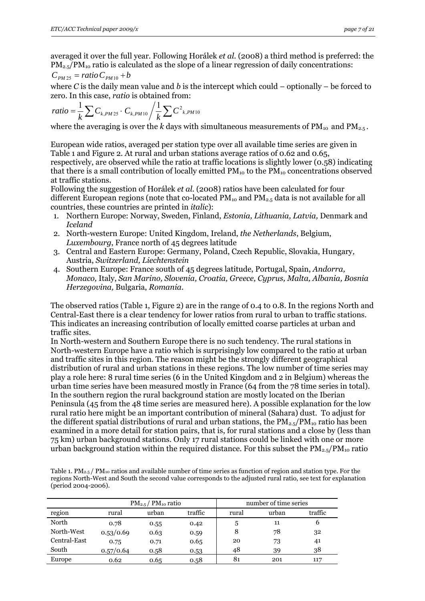averaged it over the full year. Following Horálek *et al.* (2008) a third method is preferred: the  $PM_{2.5}/PM_{10}$  ratio is calculated as the slope of a linear regression of daily concentrations:

$$
C_{PM\,25} = ratio\,C_{PM\,10} + b
$$

where *C* is the daily mean value and *b* is the intercept which could – optionally – be forced to zero. In this case, *ratio* is obtained from:

$$
ratio = \frac{1}{k} \sum C_{k,PM25} \cdot C_{k,PM10} / \frac{1}{k} \sum C^{2}{}_{k,PM10}
$$

where the averaging is over the  $k$  days with simultaneous measurements of  $PM_{10}$  and  $PM_{2.5}$ .

European wide ratios, averaged per station type over all available time series are given in Table 1 and Figure 2. At rural and urban stations average ratios of 0.62 and 0.65, respectively, are observed while the ratio at traffic locations is slightly lower (0.58) indicating that there is a small contribution of locally emitted  $PM_{10}$  to the  $PM_{10}$  concentrations observed at traffic stations.

Following the suggestion of Horálek *et al.* (2008) ratios have been calculated for four different European regions (note that co-located  $PM_{10}$  and  $PM_{2.5}$  data is not available for all countries, these countries are printed in *italic*):

- 1. Northern Europe: Norway, Sweden, Finland, *Estonia, Lithuania, Latvia,* Denmark and *Iceland*
- 2. North-western Europe: United Kingdom, Ireland, *the Netherlands*, Belgium, *Luxembourg*, France north of 45 degrees latitude
- 3. Central and Eastern Europe: Germany, Poland, Czech Republic, Slovakia, Hungary*,* Austria, *Switzerland, Liechtenstein*
- 4. Southern Europe: France south of 45 degrees latitude, Portugal, Spain, *Andorra, Monaco,* Italy, *San Marino, Slovenia, Croatia, Greece, Cyprus, Malta, Albania, Bosnia Herzegovina,* Bulgaria, *Romania*.

The observed ratios (Table 1, Figure 2) are in the range of 0.4 to 0.8. In the regions North and Central-East there is a clear tendency for lower ratios from rural to urban to traffic stations. This indicates an increasing contribution of locally emitted coarse particles at urban and traffic sites.

In North-western and Southern Europe there is no such tendency. The rural stations in North-western Europe have a ratio which is surprisingly low compared to the ratio at urban and traffic sites in this region. The reason might be the strongly different geographical distribution of rural and urban stations in these regions. The low number of time series may play a role here: 8 rural time series (6 in the United Kingdom and 2 in Belgium) whereas the urban time series have been measured mostly in France (64 from the 78 time series in total). In the southern region the rural background station are mostly located on the Iberian Peninsula (45 from the 48 time series are measured here). A possible explanation for the low rural ratio here might be an important contribution of mineral (Sahara) dust. To adjust for the different spatial distributions of rural and urban stations, the  $PM_{2.5}/PM_{10}$  ratio has been examined in a more detail for station pairs, that is, for rural stations and a close by (less than 75 km) urban background stations. Only 17 rural stations could be linked with one or more urban background station within the required distance. For this subset the  $\text{PM}_{2.5}/\text{PM}_{10}$  ratio

Table 1.  $PM_{2.5}$  /  $PM_{10}$  ratios and available number of time series as function of region and station type. For the regions North-West and South the second value corresponds to the adjusted rural ratio, see text for explanation (period 2004-2006).

|              | $PM_{2.5}$ / $PM_{10}$ ratio |       |         |       | number of time series |         |  |  |
|--------------|------------------------------|-------|---------|-------|-----------------------|---------|--|--|
| region       | rural                        | urban | traffic | rural | urban                 | traffic |  |  |
| North        | 0.78                         | 0.55  | 0.42    | 5     | 11                    | 6       |  |  |
| North-West   | 0.53/0.69                    | 0.63  | 0.59    | 8     | 78                    | 32      |  |  |
| Central-East | 0.75                         | 0.71  | 0.65    | 20    | 73                    | 41      |  |  |
| South        | 0.57/0.64                    | 0.58  | 0.53    | 48    | 39                    | 38      |  |  |
| Europe       | 0.62                         | 0.65  | 0.58    | 81    | 201                   | 117     |  |  |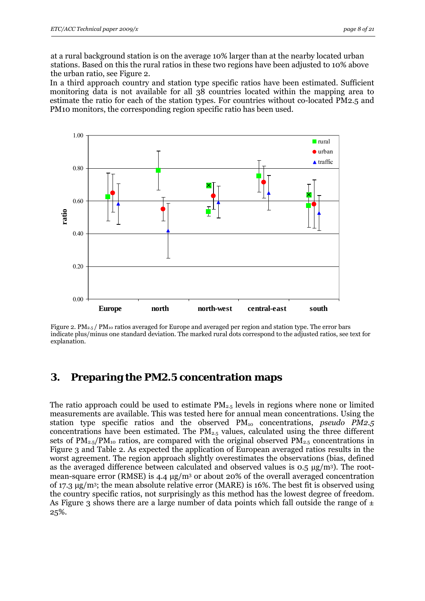<span id="page-7-0"></span>at a rural background station is on the average 10% larger than at the nearby located urban stations. Based on this the rural ratios in these two regions have been adjusted to 10% above the urban ratio, see Figure 2.

In a third approach country and station type specific ratios have been estimated. Sufficient monitoring data is not available for all 38 countries located within the mapping area to estimate the ratio for each of the station types. For countries without co-located PM2.5 and PM10 monitors, the corresponding region specific ratio has been used.



Figure 2. PM<sub>2.5</sub> / PM<sub>10</sub> ratios averaged for Europe and averaged per region and station type. The error bars indicate plus/minus one standard deviation. The marked rural dots correspond to the adjusted ratios, see text for explanation.

#### **3. Preparing the PM2.5 concentration maps**

The ratio approach could be used to estimate  $PM_{2.5}$  levels in regions where none or limited measurements are available. This was tested here for annual mean concentrations. Using the station type specific ratios and the observed PM10 concentrations, *pseudo PM2.5*  concentrations have been estimated. The  $PM_{2.5}$  values, calculated using the three different sets of  $PM_{2.5}/PM_{10}$  ratios, are compared with the original observed  $PM_{2.5}$  concentrations in Figure 3 and Table 2. As expected the application of European averaged ratios results in the worst agreement. The region approach slightly overestimates the observations (bias, defined as the averaged difference between calculated and observed values is  $0.5 \mu g/m<sup>3</sup>$ ). The rootmean-square error (RMSE) is 4.4  $\mu$ g/m<sup>3</sup> or about 20% of the overall averaged concentration of 17.3 μg/m3; the mean absolute relative error (MARE) is 16%. The best fit is observed using the country specific ratios, not surprisingly as this method has the lowest degree of freedom. As Figure 3 shows there are a large number of data points which fall outside the range of  $\pm$ 25%.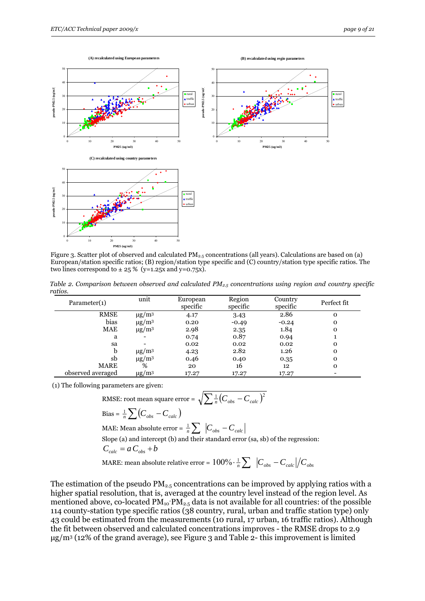

Figure 3. Scatter plot of observed and calculated  $PM_{2.5}$  concentrations (all years). Calculations are based on (a) European/station specific ratios; (B) region/station type specific and (C) country/station type specific ratios. The two lines correspond to  $\pm$  25 % (y=1.25x and y=0.75x).

*Table 2. Comparison between observed and calculated PM2.5 concentrations using region and country specific ratios.* 

| Parameter(1)      | unit                   | European<br>specific | Region<br>specific | Country<br>specific | Perfect fit |
|-------------------|------------------------|----------------------|--------------------|---------------------|-------------|
| <b>RMSE</b>       | $\mu$ g/m <sup>3</sup> | 4.17                 | 3.43               | 2.86                | $\mathbf 0$ |
| bias              | $\mu$ g/m <sup>3</sup> | 0.20                 | $-0.49$            | $-0.24$             | O           |
| <b>MAE</b>        | $\mu$ g/m <sup>3</sup> | 2.98                 | 2.35               | 1.84                | O           |
| a                 |                        | 0.74                 | 0.87               | 0.94                |             |
| sa                |                        | 0.02                 | 0.02               | 0.02                | O           |
| b                 | $\mu$ g/m <sup>3</sup> | 4.23                 | 2.82               | 1.26                | O           |
| sb                | $\mu$ g/m <sup>3</sup> | 0.46                 | 0.40               | 0.35                | $\mathbf 0$ |
| <b>MARE</b>       | %                      | 20                   | 16                 | 12                  | $\mathbf 0$ |
| observed averaged | $\mu$ g/m <sup>3</sup> | 17.27                | 17.27              | 17.27               |             |

(1) The following parameters are given:

RMSE: root mean square error = 
$$
\sqrt{\sum \frac{1}{n} (C_{obs} - C_{calc})^2}
$$
  
Bias =  $\frac{1}{n} \sum (C_{obs} - C_{calc})$ 

MAE: Mean absolute error =  $\frac{1}{n} \sum |C_{obs} - C_{calc}|$  Slope (a) and intercept (b) and their standard error (sa, sb) of the regression:  $C_{calc} = a C_{obs} + b$ 

MARE: mean absolute relative error =  $100\% \cdot \frac{1}{n} \sum \left|C_{obs} - C_{calc}\right| / C_{obs}$ 

The estimation of the pseudo  $PM_{2.5}$  concentrations can be improved by applying ratios with a higher spatial resolution, that is, averaged at the country level instead of the region level. As mentioned above, co-located  $PM_{10}$ - $PM_{2.5}$  data is not available for all countries: of the possible 114 county-station type specific ratios (38 country, rural, urban and traffic station type) only 43 could be estimated from the measurements (10 rural, 17 urban, 16 traffic ratios). Although the fit between observed and calculated concentrations improves - the RMSE drops to 2.9 μg/m3 (12% of the grand average), see Figure 3 and Table 2- this improvement is limited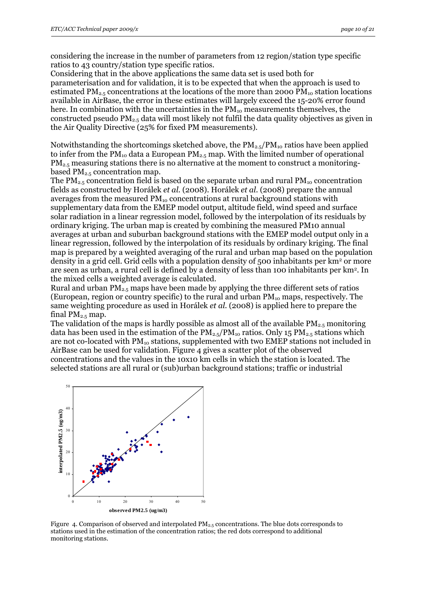considering the increase in the number of parameters from 12 region/station type specific ratios to 43 country/station type specific ratios.

Considering that in the above applications the same data set is used both for parameterisation and for validation, it is to be expected that when the approach is used to estimated PM<sub>2.5</sub> concentrations at the locations of the more than 2000 PM<sub>10</sub> station locations available in AirBase, the error in these estimates will largely exceed the 15-20% error found here. In combination with the uncertainties in the  $PM_{10}$  measurements themselves, the constructed pseudo PM2.5 data will most likely not fulfil the data quality objectives as given in the Air Quality Directive (25% for fixed PM measurements).

Notwithstanding the shortcomings sketched above, the  $PM_{2.5}/PM_{10}$  ratios have been applied to infer from the  $PM_{10}$  data a European  $PM_{2.5}$  map. With the limited number of operational  $PM<sub>2.5</sub>$  measuring stations there is no alternative at the moment to construct a monitoringbased  $PM_{2.5}$  concentration map.

The  $PM_{2.5}$  concentration field is based on the separate urban and rural  $PM_{10}$  concentration fields as constructed by Horálek *et al.* (2008). Horálek *et al.* (2008) prepare the annual averages from the measured PM<sub>10</sub> concentrations at rural background stations with supplementary data from the EMEP model output, altitude field, wind speed and surface solar radiation in a linear regression model, followed by the interpolation of its residuals by ordinary kriging. The urban map is created by combining the measured PM10 annual averages at urban and suburban background stations with the EMEP model output only in a linear regression, followed by the interpolation of its residuals by ordinary kriging. The final map is prepared by a weighted averaging of the rural and urban map based on the population density in a grid cell. Grid cells with a population density of 500 inhabitants per km<sup>2</sup> or more are seen as urban, a rural cell is defined by a density of less than 100 inhabitants per km2. In the mixed cells a weighted average is calculated.

Rural and urban  $PM_{2.5}$  maps have been made by applying the three different sets of ratios (European, region or country specific) to the rural and urban  $PM_{10}$  maps, respectively. The same weighting procedure as used in Horálek *et al.* (2008) is applied here to prepare the final  $PM_{2.5}$  map.

The validation of the maps is hardly possible as almost all of the available  $PM_{2.5}$  monitoring data has been used in the estimation of the  $PM_{2.5}/PM_{10}$  ratios. Only 15  $PM_{2.5}$  stations which are not co-located with PM<sub>10</sub> stations, supplemented with two EMEP stations not included in AirBase can be used for validation. Figure 4 gives a scatter plot of the observed concentrations and the values in the 10x10 km cells in which the station is located. The selected stations are all rural or (sub)urban background stations; traffic or industrial



Figure 4. Comparison of observed and interpolated  $PM_{2.5}$  concentrations. The blue dots corresponds to stations used in the estimation of the concentration ratios; the red dots correspond to additional monitoring stations.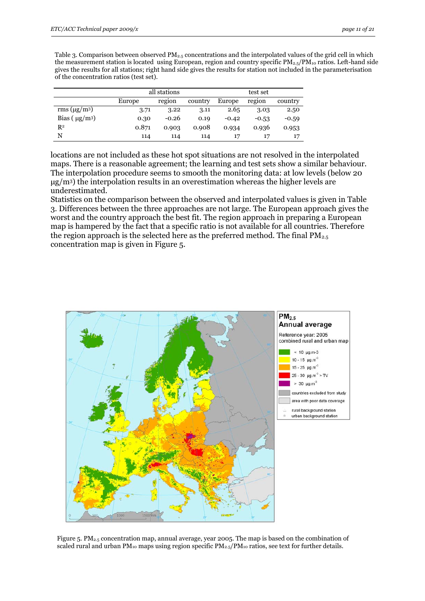Table 3. Comparison between observed PM2.5 concentrations and the interpolated values of the grid cell in which the measurement station is located using European, region and country specific  $PM_{2.5}/PM_{10}$  ratios. Left-hand side gives the results for all stations; right hand side gives the results for station not included in the parameterisation of the concentration ratios (test set).

|                    | all stations |         | test set |         |         |         |
|--------------------|--------------|---------|----------|---------|---------|---------|
|                    | Europe       | region  | country  | Europe  | region  | country |
| rms $(\mu g/m^3)$  | 3.71         | 3.22    | 3.11     | 2.65    | 3.03    | 2.50    |
| Bias $(\mu g/m^3)$ | 0.30         | $-0.26$ | 0.19     | $-0.42$ | $-0.53$ | $-0.59$ |
| $R^2$              | 0.871        | 0.903   | 0.908    | 0.934   | 0.936   | 0.953   |
| N                  | 114          | 114     | 114      |         |         | 17      |

locations are not included as these hot spot situations are not resolved in the interpolated maps. There is a reasonable agreement; the learning and test sets show a similar behaviour. The interpolation procedure seems to smooth the monitoring data: at low levels (below 20  $\mu$ g/m<sup>3</sup>) the interpolation results in an overestimation whereas the higher levels are underestimated.

Statistics on the comparison between the observed and interpolated values is given in Table 3. Differences between the three approaches are not large. The European approach gives the worst and the country approach the best fit. The region approach in preparing a European map is hampered by the fact that a specific ratio is not available for all countries. Therefore the region approach is the selected here as the preferred method. The final  $PM_{2.5}$ concentration map is given in Figure 5.



Figure 5. PM2.5 concentration map, annual average, year 2005. The map is based on the combination of scaled rural and urban  $PM_{10}$  maps using region specific  $PM_{2.5}/PM_{10}$  ratios, see text for further details.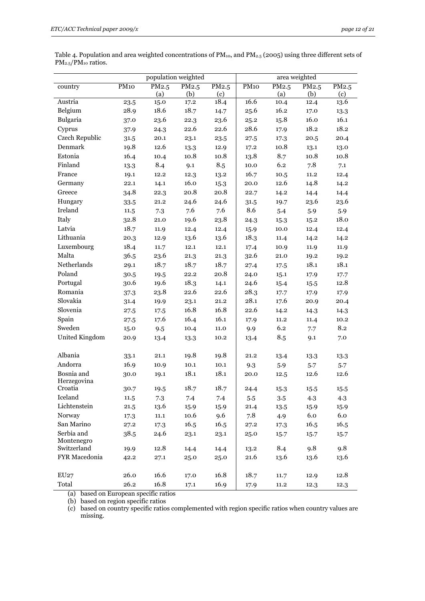|                           | population weighted |          |       | area weighted |             |       |          |       |
|---------------------------|---------------------|----------|-------|---------------|-------------|-------|----------|-------|
| country                   | PM <sub>10</sub>    | PM2.5    | PM2.5 | PM2.5         | <b>PM10</b> | PM2.5 | PM2.5    | PM2.5 |
|                           |                     | (a)      | (b)   | (c)           |             | (a)   | (b)      | (c)   |
| Austria                   | 23.5                | 15.0     | 17.2  | 18.4          | 16.6        | 10.4  | 12.4     | 13.6  |
| Belgium                   | 28.9                | 18.6     | 18.7  | 14.7          | 25.6        | 16.2  | 17.0     | 13.3  |
| Bulgaria                  | 37.0                | 23.6     | 22.3  | 23.6          | 25.2        | 15.8  | 16.0     | 16.1  |
| Cyprus                    | 37.9                | 24.3     | 22.6  | 22.6          | 28.6        | 17.9  | 18.2     | 18.2  |
| Czech Republic            | 31.5                | 20.1     | 23.1  | 23.5          | 27.5        | 17.3  | 20.5     | 20.4  |
| Denmark                   | 19.8                | 12.6     | 13.3  | 12.9          | 17.2        | 10.8  | 13.1     | 13.0  |
| Estonia                   | 16.4                | 10.4     | 10.8  | 10.8          | 13.8        | 8.7   | 10.8     | 10.8  |
| Finland                   | 13.3                | 8.4      | 9.1   | 8.5           | 10.0        | 6.2   | 7.8      | 7.1   |
| France                    | 19.1                | 12.2     | 12.3  | 13.2          | 16.7        | 10.5  | $11.2\,$ | 12.4  |
| Germany                   | 22.1                | 14.1     | 16.0  | 15.3          | 20.0        | 12.6  | 14.8     | 14.2  |
| Greece                    | 34.8                | 22.3     | 20.8  | 20.8          | 22.7        | 14.2  | 14.4     | 14.4  |
| Hungary                   | 33.5                | 21.2     | 24.6  | 24.6          | 31.5        | 19.7  | 23.6     | 23.6  |
| Ireland                   | 11.5                | 7.3      | 7.6   | 7.6           | 8.6         | 5.4   | 5.9      | 5.9   |
| Italy                     | 32.8                | 21.0     | 19.6  | 23.8          | 24.3        | 15.3  | 15.2     | 18.0  |
| Latvia                    | 18.7                | 11.9     | 12.4  | 12.4          | 15.9        | 10.0  | 12.4     | 12.4  |
| Lithuania                 | 20.3                | 12.9     | 13.6  | 13.6          | 18.3        | 11.4  | 14.2     | 14.2  |
| Luxembourg                | 18.4                | 11.7     | 12.1  | 12.1          | 17.4        | 10.9  | 11.9     | 11.9  |
| Malta                     | 36.5                | 23.6     | 21.3  | 21.3          | 32.6        | 21.0  | 19.2     | 19.2  |
| Netherlands               | 29.1                | 18.7     | 18.7  | 18.7          | 27.4        | 17.5  | 18.1     | 18.1  |
| Poland                    | 30.5                | 19.5     | 22.2  | 20.8          | 24.0        | 15.1  | 17.9     | 17.7  |
| Portugal                  | 30.6                | 19.6     | 18.3  | 14.1          | 24.6        | 15.4  | 15.5     | 12.8  |
| Romania                   | 37.3                | 23.8     | 22.6  | 22.6          | 28.3        | 17.7  | 17.9     | 17.9  |
| Slovakia                  | 31.4                | 19.9     | 23.1  | 21.2          | 28.1        | 17.6  | 20.9     | 20.4  |
| Slovenia                  | 27.5                | 17.5     | 16.8  | 16.8          | 22.6        | 14.2  | 14.3     | 14.3  |
| Spain                     | 27.5                | 17.6     | 16.4  | 16.1          | 17.9        | 11.2  | 11.4     | 10.2  |
| Sweden                    | 15.0                | 9.5      | 10.4  | 11.0          | 9.9         | 6.2   | 7.7      | 8.2   |
| United Kingdom            | 20.9                | 13.4     | 13.3  | 10.2          | 13.4        | 8.5   | 9.1      | 7.0   |
|                           |                     |          |       |               |             |       |          |       |
| Albania                   | 33.1                | 21.1     | 19.8  | 19.8          | 21.2        | 13.4  | 13.3     | 13.3  |
| Andorra                   | 16.9                | 10.9     | 10.1  | 10.1          | 9.3         | 5.9   | 5.7      | 5.7   |
| Bosnia and<br>Herzegovina | 30.0                | 19.1     | 18.1  | 18.1          | 20.0        | 12.5  | 12.6     | 12.6  |
| Croatia                   | 30.7                | 19.5     | 18.7  | 18.7          | 24.4        | 15.3  | 15.5     | 15.5  |
| Iceland                   | 11.5                | 7.3      | 7.4   | 7.4           | 5.5         | 3.5   | 4.3      | 4.3   |
| Lichtenstein              | 21.5                | 13.6     | 15.9  | 15.9          | 21.4        | 13.5  | 15.9     | 15.9  |
| Norway                    | 17.3                | $11.1\,$ | 10.6  | 9.6           | 7.8         | 4.9   | 6.0      | 6.0   |
| San Marino                | 27.2                | 17.3     | 16.5  | 16.5          | 27.2        | 17.3  | 16.5     | 16.5  |
| Serbia and                | 38.5                | 24.6     | 23.1  | 23.1          | 25.0        | 15.7  | 15.7     | 15.7  |
| Montenegro<br>Switzerland | 19.9                | 12.8     | 14.4  | 14.4          | 13.2        | 8.4   | 9.8      | 9.8   |
| FYR Macedonia             | 42.2                | 27.1     | 25.0  | 25.0          | 21.6        | 13.6  | 13.6     | 13.6  |
|                           |                     |          |       |               |             |       |          |       |
| EU27                      | 26.0                | 16.6     | 17.0  | 16.8          | 18.7        | 11.7  | 12.9     | 12.8  |
| Total                     | 26.2                | 16.8     | 17.1  | 16.9          | 17.9        | 11.2  | 12.3     | 12.3  |

Table 4. Population and area weighted concentrations of PM10, and PM2.5 (2005) using three different sets of PM<sub>2.5</sub>/PM<sub>10</sub> ratios.

(a) based on European specific ratios

(b) based on region specific ratios

÷,

(c) based on country specific ratios complemented with region specific ratios when country values are missing.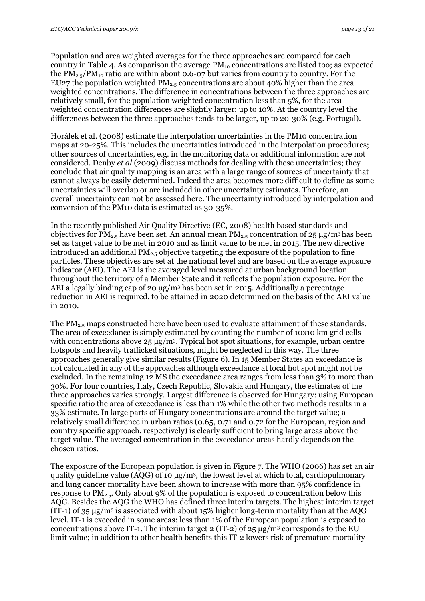Population and area weighted averages for the three approaches are compared for each country in Table 4. As comparison the average  $PM_{10}$  concentrations are listed too; as expected the  $PM_{2.5}/PM_{10}$  ratio are within about 0.6-07 but varies from country to country. For the EU27 the population weighted  $PM_{2.5}$  concentrations are about 40% higher than the area weighted concentrations. The difference in concentrations between the three approaches are relatively small, for the population weighted concentration less than 5%, for the area weighted concentration differences are slightly larger: up to 10%. At the country level the differences between the three approaches tends to be larger, up to 20-30% (e.g. Portugal).

Horálek et al. (2008) estimate the interpolation uncertainties in the PM10 concentration maps at 20-25%. This includes the uncertainties introduced in the interpolation procedures; other sources of uncertainties, e.g. in the monitoring data or additional information are not considered. Denby *et al* (2009) discuss methods for dealing with these uncertainties; they conclude that air quality mapping is an area with a large range of sources of uncertainty that cannot always be easily determined. Indeed the area becomes more difficult to define as some uncertainties will overlap or are included in other uncertainty estimates. Therefore, an overall uncertainty can not be assessed here. The uncertainty introduced by interpolation and conversion of the PM10 data is estimated as 30-35%.

In the recently published Air Quality Directive (EC, 2008) health based standards and objectives for PM<sub>2.5</sub> have been set. An annual mean PM<sub>2.5</sub> concentration of  $25 \mu g/m^3$  has been set as target value to be met in 2010 and as limit value to be met in 2015. The new directive introduced an additional  $PM_{2.5}$  objective targeting the exposure of the population to fine particles. These objectives are set at the national level and are based on the average exposure indicator (AEI). The AEI is the averaged level measured at urban background location throughout the territory of a Member State and it reflects the population exposure. For the AEI a legally binding cap of 20  $\mu$ g/m<sup>3</sup> has been set in 2015. Additionally a percentage reduction in AEI is required, to be attained in 2020 determined on the basis of the AEI value in 2010.

The  $PM_{2.5}$  maps constructed here have been used to evaluate attainment of these standards. The area of exceedance is simply estimated by counting the number of 10x10 km grid cells with concentrations above 25 μg/m3. Typical hot spot situations, for example, urban centre hotspots and heavily trafficked situations, might be neglected in this way. The three approaches generally give similar results (Figure 6). In 15 Member States an exceedance is not calculated in any of the approaches although exceedance at local hot spot might not be excluded. In the remaining 12 MS the exceedance area ranges from less than 3% to more than 30%. For four countries, Italy, Czech Republic, Slovakia and Hungary, the estimates of the three approaches varies strongly. Largest difference is observed for Hungary: using European specific ratio the area of exceedance is less than 1% while the other two methods results in a 33% estimate. In large parts of Hungary concentrations are around the target value; a relatively small difference in urban ratios (0.65, 0.71 and 0.72 for the European, region and country specific approach, respectively) is clearly sufficient to bring large areas above the target value. The averaged concentration in the exceedance areas hardly depends on the chosen ratios.

The exposure of the European population is given in Figure 7. The WHO (2006) has set an air quality guideline value (AQG) of 10 μg/m3, the lowest level at which total, cardiopulmonary and lung cancer mortality have been shown to increase with more than 95% confidence in response to  $PM_{2.5}$ . Only about 9% of the population is exposed to concentration below this AQG. Besides the AQG the WHO has defined three interim targets. The highest interim target (IT-1) of  $35 \mu g/m^3$  is associated with about 15% higher long-term mortality than at the AQG level. IT-1 is exceeded in some areas: less than 1% of the European population is exposed to concentrations above IT-1. The interim target 2 (IT-2) of  $25 \mu g/m<sup>3</sup>$  corresponds to the EU limit value; in addition to other health benefits this IT-2 lowers risk of premature mortality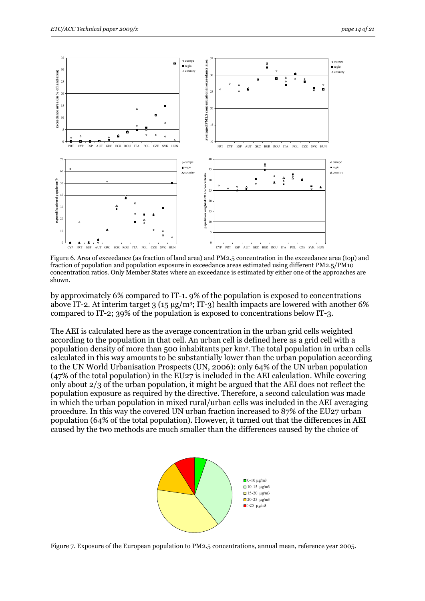

Figure 6. Area of exceedance (as fraction of land area) and PM2.5 concentration in the exceedance area (top) and fraction of population and population exposure in exceedance areas estimated using different PM2.5/PM10 concentration ratios. Only Member States where an exceedance is estimated by either one of the approaches are shown.

by approximately 6% compared to IT-1. 9% of the population is exposed to concentrations above IT-2. At interim target 3 (15  $\mu$ g/m<sup>3</sup>; IT-3) health impacts are lowered with another 6% compared to IT-2; 39% of the population is exposed to concentrations below IT-3.

The AEI is calculated here as the average concentration in the urban grid cells weighted according to the population in that cell. An urban cell is defined here as a grid cell with a population density of more than 500 inhabitants per km2. The total population in urban cells calculated in this way amounts to be substantially lower than the urban population according to the UN World Urbanisation Prospects (UN, 2006): only 64% of the UN urban population (47% of the total population) in the EU27 is included in the AEI calculation. While covering only about 2/3 of the urban population, it might be argued that the AEI does not reflect the population exposure as required by the directive. Therefore, a second calculation was made in which the urban population in mixed rural/urban cells was included in the AEI averaging procedure. In this way the covered UN urban fraction increased to 87% of the EU27 urban population (64% of the total population). However, it turned out that the differences in AEI caused by the two methods are much smaller than the differences caused by the choice of



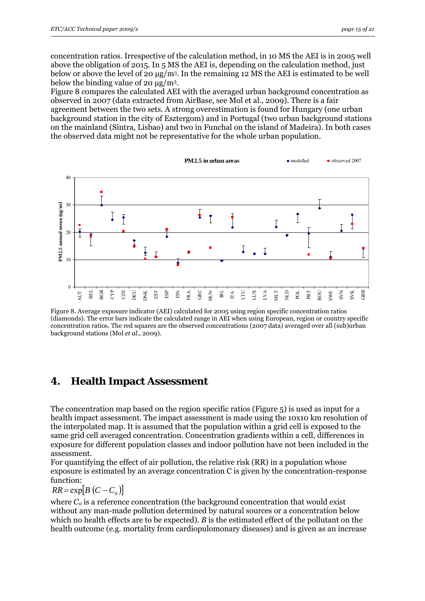<span id="page-14-0"></span>concentration ratios. Irrespective of the calculation method, in 10 MS the AEI is in 2005 well above the obligation of 2015. In 5 MS the AEI is, depending on the calculation method, just below or above the level of 20  $\mu$ g/m<sup>3</sup>. In the remaining 12 MS the AEI is estimated to be well below the binding value of 20 μg/m3.

Figure 8 compares the calculated AEI with the averaged urban background concentration as observed in 2007 (data extracted from AirBase, see Mol et al., 2009). There is a fair agreement between the two sets. A strong overestimation is found for Hungary (one urban background station in the city of Esztergom) and in Portugal (two urban background stations on the mainland (Sintra, Lisbao) and two in Funchal on the island of Madeira). In both cases the observed data might not be representative for the whole urban population.



Figure 8. Average exposure indicator (AEI) calculated for 2005 using region specific concentration ratios (diamonds). The error bars indicate the calculated range in AEI when using European, region or country specific concentration ratios. The red squares are the observed concentrations (2007 data) averaged over all (sub)urban background stations (Mol *et al*., 2009).

## **4. Health Impact Assessment**

The concentration map based on the region specific ratios (Figure 5) is used as input for a health impact assessment. The impact assessment is made using the 10x10 km resolution of the interpolated map. It is assumed that the population within a grid cell is exposed to the same grid cell averaged concentration. Concentration gradients within a cell, differences in exposure for different population classes and indoor pollution have not been included in the assessment.

For quantifying the effect of air pollution, the relative risk (RR) in a population whose exposure is estimated by an average concentration C is given by the concentration-response function:

 $RR = \exp[B(C - C_0)]$ 

where  $C_0$  is a reference concentration (the background concentration that would exist without any man-made pollution determined by natural sources or a concentration below which no health effects are to be expected). *B* is the estimated effect of the pollutant on the health outcome (e.g. mortality from cardiopulomonary diseases) and is given as an increase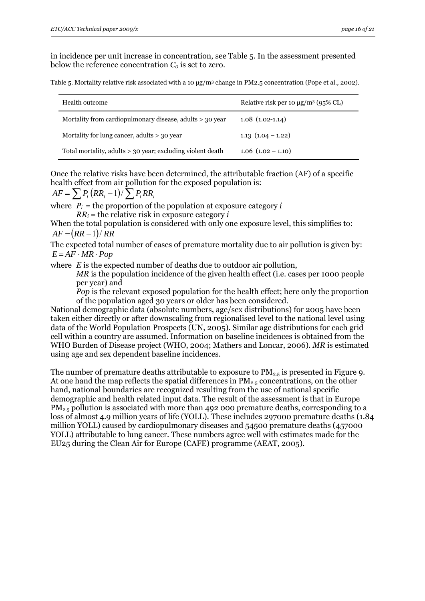in incidence per unit increase in concentration, see Table 5. In the assessment presented below the reference concentration  $C_0$  is set to zero.

Table 5. Mortality relative risk associated with a 10 μg/m3 change in PM2.5 concentration (Pope et al., 2002).

| Health outcome                                             | Relative risk per 10 $\mu$ g/m <sup>3</sup> (95% CL) |
|------------------------------------------------------------|------------------------------------------------------|
| Mortality from cardiopulmonary disease, adults > 30 year   | $1.08(1.02-1.14)$                                    |
| Mortality for lung cancer, adults > 30 year                | 1.13 $(1.04 - 1.22)$                                 |
| Total mortality, adults > 30 year; excluding violent death | $1.06$ $(1.02 - 1.10)$                               |

Once the relative risks have been determined, the attributable fraction (AF) of a specific health effect from air pollution for the exposed population is:

$$
AF = \sum P_i (RR_i - 1) / \sum P_i RR_i
$$

where  $P_i$  = the proportion of the population at exposure category *i*  $RR_i$  = the relative risk in exposure category *i* 

When the total population is considered with only one exposure level, this simplifies to:  $AF = (RR - 1)/RR$ 

The expected total number of cases of premature mortality due to air pollution is given by:  $E = AF \cdot MR \cdot Pop$ 

where *E* is the expected number of deaths due to outdoor air pollution,

*MR* is the population incidence of the given health effect (i.e. cases per 1000 people per year) and

*Pop* is the relevant exposed population for the health effect; here only the proportion of the population aged 30 years or older has been considered.

National demographic data (absolute numbers, age/sex distributions) for 2005 have been taken either directly or after downscaling from regionalised level to the national level using data of the World Population Prospects (UN, 2005). Similar age distributions for each grid cell within a country are assumed. Information on baseline incidences is obtained from the WHO Burden of Disease project (WHO, 2004; Mathers and Loncar, 2006). *MR* is estimated using age and sex dependent baseline incidences.

The number of premature deaths attributable to exposure to  $PM_{2.5}$  is presented in Figure 9. At one hand the map reflects the spatial differences in  $PM_{2.5}$  concentrations, on the other hand, national boundaries are recognized resulting from the use of national specific demographic and health related input data. The result of the assessment is that in Europe  $PM_{2.5}$  pollution is associated with more than 492 000 premature deaths, corresponding to a loss of almost 4.9 million years of life (YOLL). These includes 297000 premature deaths (1.84 million YOLL) caused by cardiopulmonary diseases and 54500 premature deaths (457000 YOLL) attributable to lung cancer. These numbers agree well with estimates made for the EU25 during the Clean Air for Europe (CAFE) programme (AEAT, 2005).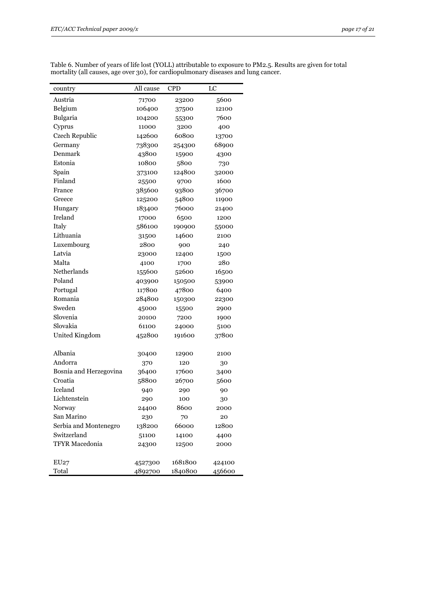| country                | All cause | <b>CPD</b> | LC     |
|------------------------|-----------|------------|--------|
| Austria                | 71700     | 23200      | 5600   |
| Belgium                | 106400    | 37500      | 12100  |
| Bulgaria               | 104200    | 55300      | 7600   |
| Cyprus                 | 11000     | 3200       | 400    |
| Czech Republic         | 142600    | 60800      | 13700  |
| Germany                | 738300    | 254300     | 68900  |
| Denmark                | 43800     | 15900      | 4300   |
| Estonia                | 10800     | 5800       | 730    |
| Spain                  | 373100    | 124800     | 32000  |
| Finland                | 25500     | 9700       | 1600   |
| France                 | 385600    | 93800      | 36700  |
| Greece                 | 125200    | 54800      | 11900  |
| Hungary                | 183400    | 76000      | 21400  |
| Ireland                | 17000     | 6500       | 1200   |
| Italy                  | 586100    | 190900     | 55000  |
| Lithuania              | 31500     | 14600      | 2100   |
| Luxembourg             | 2800      | 900        | 240    |
| Latvia                 | 23000     | 12400      | 1500   |
| Malta                  | 4100      | 1700       | 280    |
| Netherlands            | 155600    | 52600      | 16500  |
| Poland                 | 403900    | 150500     | 53900  |
| Portugal               | 117800    | 47800      | 6400   |
| Romania                | 284800    | 150300     | 22300  |
| Sweden                 | 45000     | 15500      | 2900   |
| Slovenia               | 20100     | 7200       | 1900   |
| Slovakia               | 61100     | 24000      | 5100   |
| United Kingdom         | 452800    | 191600     | 37800  |
| Albania                | 30400     | 12900      | 2100   |
| Andorra                | 370       | 120        | 30     |
| Bosnia and Herzegovina | 36400     | 17600      | 3400   |
| Croatia                | 58800     | 26700      | 5600   |
| Iceland                | 940       | 290        | 90     |
| Lichtenstein           | 290       | 100        | 30     |
| Norway                 | 24400     | 8600       | 2000   |
| San Marino             | 230       | 70         | 20     |
| Serbia and Montenegro  | 138200    | 66000      | 12800  |
| Switzerland            | 51100     | 14100      | 4400   |
| <b>TFYR Macedonia</b>  | 24300     | 12500      | 2000   |
|                        |           |            |        |
| EU27                   | 4527300   | 1681800    | 424100 |
| Total                  | 4892700   | 1840800    | 456600 |

Table 6. Number of years of life lost (YOLL) attributable to exposure to PM2.5. Results are given for total mortality (all causes, age over 30), for cardiopulmonary diseases and lung cancer.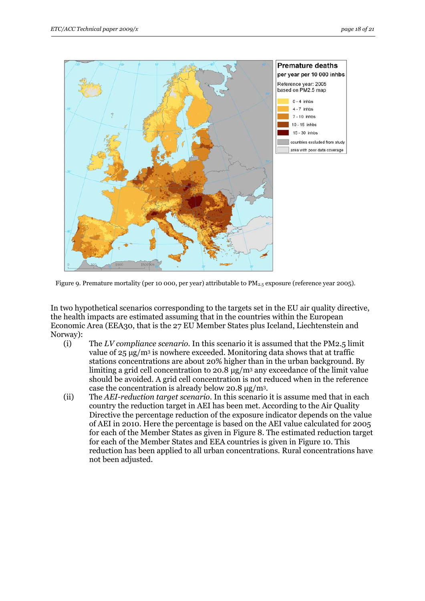

Figure 9. Premature mortality (per 10 000, per year) attributable to  $PM_{2.5}$  exposure (reference year 2005).

In two hypothetical scenarios corresponding to the targets set in the EU air quality directive, the health impacts are estimated assuming that in the countries within the European Economic Area (EEA30, that is the 27 EU Member States plus Iceland, Liechtenstein and Norway):

- (i) The *LV compliance scenario.* In this scenario it is assumed that the PM2.5 limit value of  $25 \mu g/m^3$  is nowhere exceeded. Monitoring data shows that at traffic stations concentrations are about 20% higher than in the urban background. By limiting a grid cell concentration to 20.8  $\mu$ g/m<sup>3</sup> any exceedance of the limit value should be avoided. A grid cell concentration is not reduced when in the reference case the concentration is already below 20.8 μg/m3.
- (ii) The *AEI-reduction target scenario.* In this scenario it is assume med that in each country the reduction target in AEI has been met. According to the Air Quality Directive the percentage reduction of the exposure indicator depends on the value of AEI in 2010. Here the percentage is based on the AEI value calculated for 2005 for each of the Member States as given in Figure 8. The estimated reduction target for each of the Member States and EEA countries is given in Figure 10. This reduction has been applied to all urban concentrations. Rural concentrations have not been adjusted.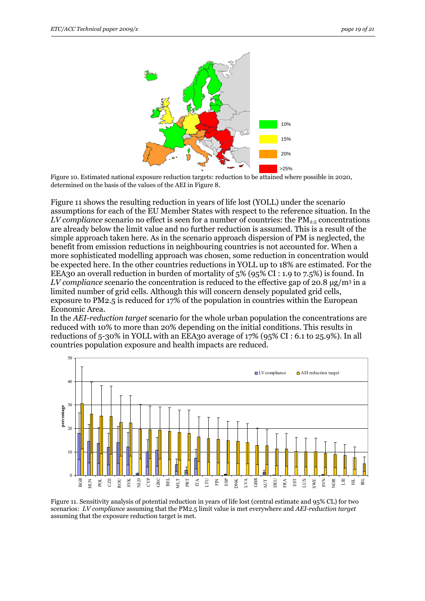

 Figure 10. Estimated national exposure reduction targets: reduction to be attained where possible in 2020, determined on the basis of the values of the AEI in Figure 8.

Figure 11 shows the resulting reduction in years of life lost (YOLL) under the scenario assumptions for each of the EU Member States with respect to the reference situation. In the *LV compliance* scenario no effect is seen for a number of countries: the PM<sub>2.5</sub> concentrations are already below the limit value and no further reduction is assumed. This is a result of the simple approach taken here. As in the scenario approach dispersion of PM is neglected, the benefit from emission reductions in neighbouring countries is not accounted for. When a more sophisticated modelling approach was chosen, some reduction in concentration would be expected here. In the other countries reductions in YOLL up to 18% are estimated. For the EEA30 an overall reduction in burden of mortality of 5% (95% CI : 1.9 to 7.5%) is found. In *LV compliance* scenario the concentration is reduced to the effective gap of 20.8 μg/m3 in a limited number of grid cells. Although this will concern densely populated grid cells, exposure to PM2.5 is reduced for 17% of the population in countries within the European Economic Area.

In the *AEI-reduction target* scenario for the whole urban population the concentrations are reduced with 10% to more than 20% depending on the initial conditions. This results in reductions of 5-30% in YOLL with an EEA30 average of 17% (95% CI : 6.1 to 25.9%). In all countries population exposure and health impacts are reduced.



Figure 11. Sensitivity analysis of potential reduction in years of life lost (central estimate and 95% CL) for two scenarios: *LV compliance* assuming that the PM2.5 limit value is met everywhere and *AEI-reduction target*  assuming that the exposure reduction target is met.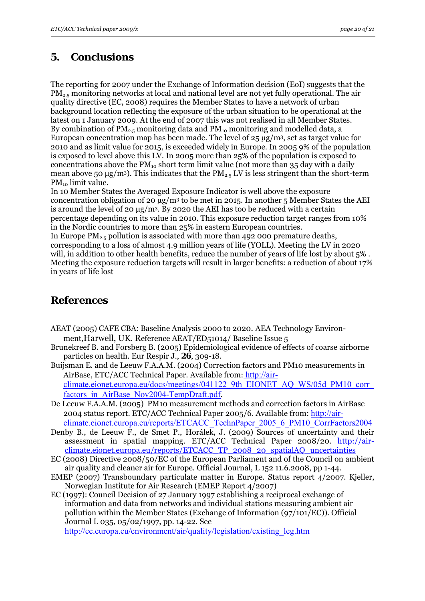# <span id="page-19-0"></span>**5. Conclusions**

The reporting for 2007 under the Exchange of Information decision (EoI) suggests that the PM2.5 monitoring networks at local and national level are not yet fully operational. The air quality directive (EC, 2008) requires the Member States to have a network of urban background location reflecting the exposure of the urban situation to be operational at the latest on 1 January 2009. At the end of 2007 this was not realised in all Member States. By combination of  $PM_{2.5}$  monitoring data and  $PM_{10}$  monitoring and modelled data, a European concentration map has been made. The level of  $25 \mu g/m^3$ , set as target value for 2010 and as limit value for 2015, is exceeded widely in Europe. In 2005 9% of the population is exposed to level above this LV. In 2005 more than 25% of the population is exposed to concentrations above the  $PM_{10}$  short term limit value (not more than 35 day with a daily mean above 50  $\mu$ g/m<sup>3</sup>). This indicates that the PM<sub>2.5</sub> LV is less stringent than the short-term PM<sub>10</sub> limit value.

In 10 Member States the Averaged Exposure Indicator is well above the exposure concentration obligation of 20  $\mu$ g/m<sup>3</sup> to be met in 2015. In another 5 Member States the AEI is around the level of 20 μg/m3. By 2020 the AEI has too be reduced with a certain percentage depending on its value in 2010. This exposure reduction target ranges from 10% in the Nordic countries to more than 25% in eastern European countries.

In Europe  $PM_{2.5}$  pollution is associated with more than 492 000 premature deaths, corresponding to a loss of almost 4.9 million years of life (YOLL). Meeting the LV in 2020 will, in addition to other health benefits, reduce the number of years of life lost by about 5% . Meeting the exposure reduction targets will result in larger benefits: a reduction of about 17% in years of life lost

# **References**

- AEAT (2005) CAFE CBA: Baseline Analysis 2000 to 2020. AEA Technology Environment,Harwell, UK. Reference AEAT/ED51014/ Baseline Issue 5
- Brunekreef B. and Forsberg B. (2005) Epidemiological evidence of effects of coarse airborne particles on health. Eur Respir J., **26**, 309-18.
- Buijsman E. and de Leeuw F.A.A.M. (2004) Correction factors and PM10 measurements in AirBase, ETC/ACC Technical Paper. Available from: [http://air](http://air-climate.eionet.europa.eu/docs/meetings/041122_9th_EIONET_AQ_WS/05d_PM10_corr_factors_in_AirBase_Nov2004-TempDraft.pdf)[climate.eionet.europa.eu/docs/meetings/041122\\_9th\\_EIONET\\_AQ\\_WS/05d\\_PM10\\_corr\\_](http://air-climate.eionet.europa.eu/docs/meetings/041122_9th_EIONET_AQ_WS/05d_PM10_corr_factors_in_AirBase_Nov2004-TempDraft.pdf) [factors\\_in\\_AirBase\\_Nov2004-TempDraft.pdf](http://air-climate.eionet.europa.eu/docs/meetings/041122_9th_EIONET_AQ_WS/05d_PM10_corr_factors_in_AirBase_Nov2004-TempDraft.pdf).
- De Leeuw F.A.A.M. (2005) PM10 measurement methods and correction factors in AirBase 2004 status report. ETC/ACC Technical Paper 2005/6. Available from: [http://air](http://air-climate.eionet.europa.eu/reports/ETCACC_TechnPaper_2005_6_PM10_CorrFactors2004)[climate.eionet.europa.eu/reports/ETCACC\\_TechnPaper\\_2005\\_6\\_PM10\\_CorrFactors2004](http://air-climate.eionet.europa.eu/reports/ETCACC_TechnPaper_2005_6_PM10_CorrFactors2004)
- Denby B., de Leeuw F., de Smet P., Horálek, J. (2009) Sources of uncertainty and their assessment in spatial mapping. ETC/ACC Technical Paper 2008/20. [http://air](http://air-climate.eionet.europa.eu/reports/ETCACC_TP_2008_20_spatialAQ_uncertainties)[climate.eionet.europa.eu/reports/ETCACC\\_TP\\_2008\\_20\\_spatialAQ\\_uncertainties](http://air-climate.eionet.europa.eu/reports/ETCACC_TP_2008_20_spatialAQ_uncertainties)
- EC (2008) Directive 2008/50/EC of the European Parliament and of the Council on ambient air quality and cleaner air for Europe. Official Journal, L 152 11.6.2008, pp 1-44.
- EMEP (2007) Transboundary particulate matter in Europe. Status report 4/2007. Kjeller, Norwegian Institute for Air Research (EMEP Report 4/2007)

EC (1997): Council Decision of 27 January 1997 establishing a reciprocal exchange of information and data from networks and individual stations measuring ambient air pollution within the Member States (Exchange of Information (97/101/EC)). Official Journal L 035, 05/02/1997, pp. 14-22. See http://ec.europa.eu/environment/air/quality/legislation/existing leg.htm